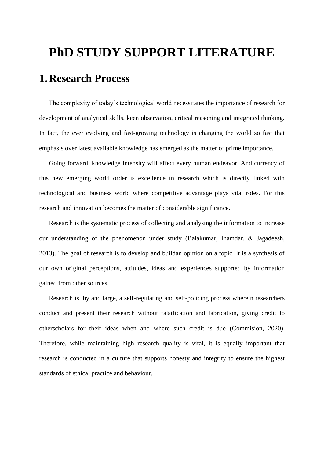# **PhD STUDY SUPPORT LITERATURE 1. Research Process**

The complexity of today's technological world necessitates the importance of research for development of analytical skills, keen observation, critical reasoning and integrated thinking. In fact, the ever evolving and fast-growing technology is changing the world so fast that emphasis over latest available knowledge has emerged as the matter of prime importance.

Going forward, knowledge intensity will affect every human endeavor. And currency of this new emerging world order is excellence in research which is directly linked with technological and business world where competitive advantage plays vital roles. For this research and innovation becomes the matter of considerable significance.

Research is the systematic process of collecting and analysing the information to increase our understanding of the phenomenon under study (Balakumar, Inamdar, & Jagadeesh, 2013). The goal of research is to develop and buildan opinion on a topic. It is a synthesis of our own original perceptions, attitudes, ideas and experiences supported by information gained from other sources.

Research is, by and large, a self-regulating and self-policing process wherein researchers conduct and present their research without falsification and fabrication, giving credit to otherscholars for their ideas when and where such credit is due (Commision, 2020). Therefore, while maintaining high research quality is vital, it is equally important that research is conducted in a culture that supports honesty and integrity to ensure the highest standards of ethical practice and behaviour.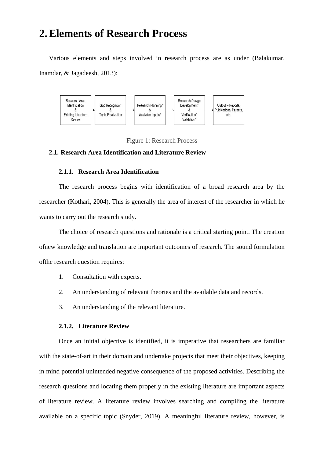## **2.Elements of Research Process**

Various elements and steps involved in research process are as under (Balakumar, Inamdar, & Jagadeesh, 2013):



Figure 1: Research Process

#### **2.1. Research Area Identification and Literature Review**

#### **2.1.1. Research Area Identification**

The research process begins with identification of a broad research area by the researcher (Kothari, 2004). This is generally the area of interest of the researcher in which he wants to carry out the research study.

The choice of research questions and rationale is a critical starting point. The creation ofnew knowledge and translation are important outcomes of research. The sound formulation ofthe research question requires:

- 1. Consultation with experts.
- 2. An understanding of relevant theories and the available data and records.
- 3. An understanding of the relevant literature.

#### **2.1.2. Literature Review**

Once an initial objective is identified, it is imperative that researchers are familiar with the state-of-art in their domain and undertake projects that meet their objectives, keeping in mind potential unintended negative consequence of the proposed activities. Describing the research questions and locating them properly in the existing literature are important aspects of literature review. A literature review involves searching and compiling the literature available on a specific topic (Snyder, 2019). A meaningful literature review, however, is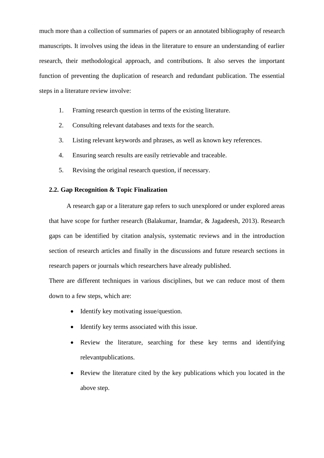much more than a collection of summaries of papers or an annotated bibliography of research manuscripts. It involves using the ideas in the literature to ensure an understanding of earlier research, their methodological approach, and contributions. It also serves the important function of preventing the duplication of research and redundant publication. The essential steps in a literature review involve:

- 1. Framing research question in terms of the existing literature.
- 2. Consulting relevant databases and texts for the search.
- 3. Listing relevant keywords and phrases, as well as known key references.
- 4. Ensuring search results are easily retrievable and traceable.
- 5. Revising the original research question, if necessary.

#### **2.2. Gap Recognition & Topic Finalization**

A research gap or a literature gap refers to such unexplored or under explored areas that have scope for further research (Balakumar, Inamdar, & Jagadeesh, 2013). Research gaps can be identified by citation analysis, systematic reviews and in the introduction section of research articles and finally in the discussions and future research sections in research papers or journals which researchers have already published.

There are different techniques in various disciplines, but we can reduce most of them down to a few steps, which are:

- Identify key motivating issue/question.
- Identify key terms associated with this issue.
- Review the literature, searching for these key terms and identifying relevantpublications.
- Review the literature cited by the key publications which you located in the above step.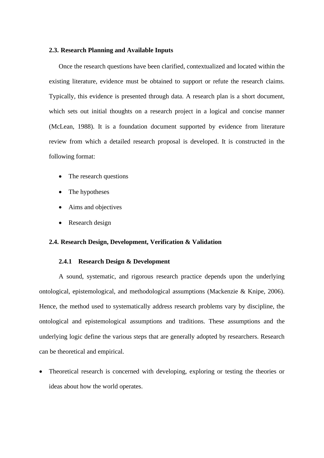#### **2.3. Research Planning and Available Inputs**

Once the research questions have been clarified, contextualized and located within the existing literature, evidence must be obtained to support or refute the research claims. Typically, this evidence is presented through data. A research plan is a short document, which sets out initial thoughts on a research project in a logical and concise manner (McLean, 1988). It is a foundation document supported by evidence from literature review from which a detailed research proposal is developed. It is constructed in the following format:

- The research questions
- The hypotheses
- Aims and objectives
- Research design

#### **2.4. Research Design, Development, Verification & Validation**

#### **2.4.1 Research Design & Development**

A sound, systematic, and rigorous research practice depends upon the underlying ontological, epistemological, and methodological assumptions (Mackenzie & Knipe, 2006). Hence, the method used to systematically address research problems vary by discipline, the ontological and epistemological assumptions and traditions. These assumptions and the underlying logic define the various steps that are generally adopted by researchers. Research can be theoretical and empirical.

• Theoretical research is concerned with developing, exploring or testing the theories or ideas about how the world operates.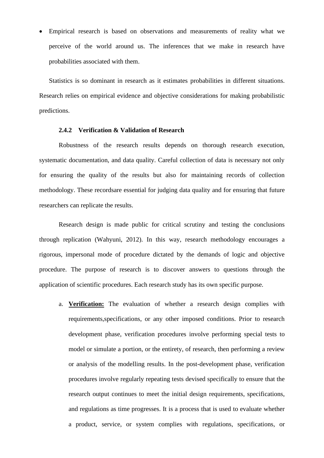• Empirical research is based on observations and measurements of reality what we perceive of the world around us. The inferences that we make in research have probabilities associated with them.

Statistics is so dominant in research as it estimates probabilities in different situations. Research relies on empirical evidence and objective considerations for making probabilistic predictions.

#### **2.4.2 Verification & Validation of Research**

Robustness of the research results depends on thorough research execution, systematic documentation, and data quality. Careful collection of data is necessary not only for ensuring the quality of the results but also for maintaining records of collection methodology. These recordsare essential for judging data quality and for ensuring that future researchers can replicate the results.

Research design is made public for critical scrutiny and testing the conclusions through replication (Wahyuni, 2012). In this way, research methodology encourages a rigorous, impersonal mode of procedure dictated by the demands of logic and objective procedure. The purpose of research is to discover answers to questions through the application of scientific procedures. Each research study has its own specific purpose.

a. **Verification:** The evaluation of whether a research design complies with requirements,specifications, or any other imposed conditions. Prior to research development phase, verification procedures involve performing special tests to model or simulate a portion, or the entirety, of research, then performing a review or analysis of the modelling results. In the post-development phase, verification procedures involve regularly repeating tests devised specifically to ensure that the research output continues to meet the initial design requirements, specifications, and regulations as time progresses. It is a process that is used to evaluate whether a product, service, or system complies with regulations, specifications, or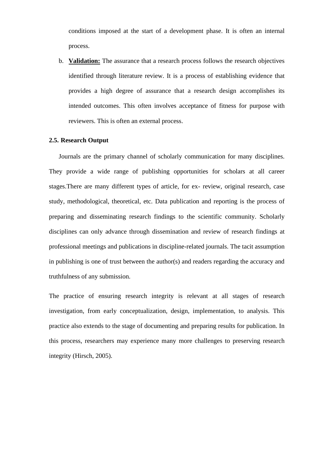conditions imposed at the start of a development phase. It is often an internal process.

b. **Validation:** The assurance that a research process follows the research objectives identified through literature review. It is a process of establishing evidence that provides a high degree of assurance that a research design accomplishes its intended outcomes. This often involves acceptance of fitness for purpose with reviewers. This is often an external process.

#### **2.5. Research Output**

Journals are the primary channel of scholarly communication for many disciplines. They provide a wide range of publishing opportunities for scholars at all career stages.There are many different types of article, for ex- review, original research, case study, methodological, theoretical, etc. Data publication and reporting is the process of preparing and disseminating research findings to the scientific community. Scholarly disciplines can only advance through dissemination and review of research findings at professional meetings and publications in discipline-related journals. The tacit assumption in publishing is one of trust between the author(s) and readers regarding the accuracy and truthfulness of any submission.

The practice of ensuring research integrity is relevant at all stages of research investigation, from early conceptualization, design, implementation, to analysis. This practice also extends to the stage of documenting and preparing results for publication. In this process, researchers may experience many more challenges to preserving research integrity (Hirsch, 2005).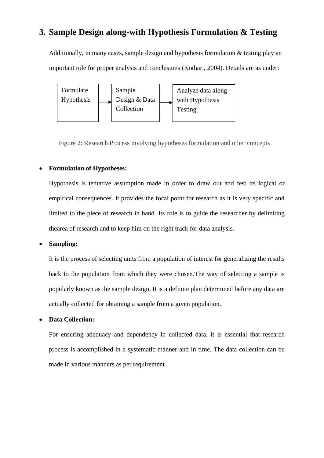### **3. Sample Design along-with Hypothesis Formulation & Testing**

Additionally, in many cases, sample design and hypothesis formulation & testing play an important role for proper analysis and conclusions (Kothari, 2004). Details are as under:



Figure 2: Research Process involving hypotheses formulation and other concepts

#### • **Formulation of Hypotheses:**

Hypothesis is tentative assumption made in order to draw out and test its logical or empirical consequences. It provides the focal point for research as it is very specific and limited to the piece of research in hand. Its role is to guide the researcher by delimiting thearea of research and to keep him on the right track for data analysis.

#### • **Sampling:**

It is the process of selecting units from a population of interest for generalizing the results back to the population from which they were chosen.The way of selecting a sample is popularly known as the sample design. It is a definite plan determined before any data are actually collected for obtaining a sample from a given population.

#### • **Data Collection:**

For ensuring adequacy and dependency in collected data, it is essential that research process is accomplished in a systematic manner and in time. The data collection can be made in various manners as per requirement.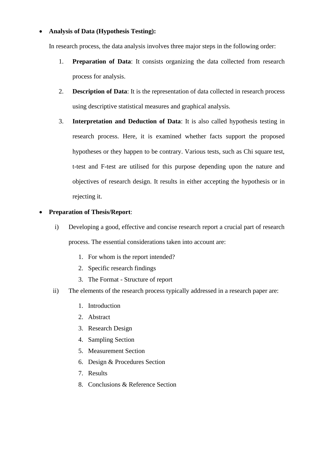#### • **Analysis of Data (Hypothesis Testing):**

In research process, the data analysis involves three major steps in the following order:

- 1. **Preparation of Data**: It consists organizing the data collected from research process for analysis.
- 2. **Description of Data**: It is the representation of data collected in research process using descriptive statistical measures and graphical analysis.
- 3. **Interpretation and Deduction of Data**: It is also called hypothesis testing in research process. Here, it is examined whether facts support the proposed hypotheses or they happen to be contrary. Various tests, such as Chi square test, t-test and F-test are utilised for this purpose depending upon the nature and objectives of research design. It results in either accepting the hypothesis or in rejecting it.

#### • **Preparation of Thesis/Report**:

- i) Developing a good, effective and concise research report a crucial part of research process. The essential considerations taken into account are:
	- 1. For whom is the report intended?
	- 2. Specific research findings
	- 3. The Format Structure of report
- ii) The elements of the research process typically addressed in a research paper are:
	- 1. Introduction
	- 2. Abstract
	- 3. Research Design
	- 4. Sampling Section
	- 5. Measurement Section
	- 6. Design & Procedures Section
	- 7. Results
	- 8. Conclusions & Reference Section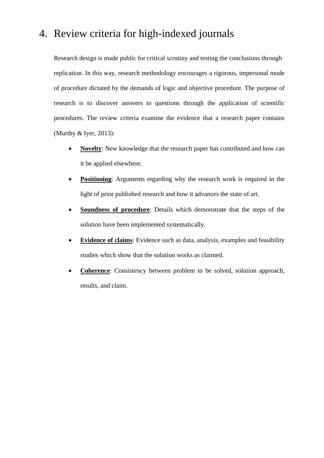## 4. Review criteria for high-indexed journals

Research design is made public for critical scrutiny and testing the conclusions through replication. In this way, research methodology encourages a rigorous, impersonal mode of procedure dictated by the demands of logic and objective procedure. The purpose of research is to discover answers to questions through the application of scientific procedures. The review criteria examine the evidence that a research paper contains (Murthy & Iyer, 2013):

- **Novelty**: New knowledge that the research paper has contributed and how can it be applied elsewhere.
- **Positioning:** Arguments regarding why the research work is required in the light of prior published research and how it advances the state of art.
- **Soundness of procedure**: Details which demonstrate that the steps of the solution have been implemented systematically.
- **Evidence of claims**: Evidence such as data, analysis, examples and feasibility studies which show that the solution works as claimed.
- **Coherence**: Consistency between problem to be solved, solution approach, results, and claim.